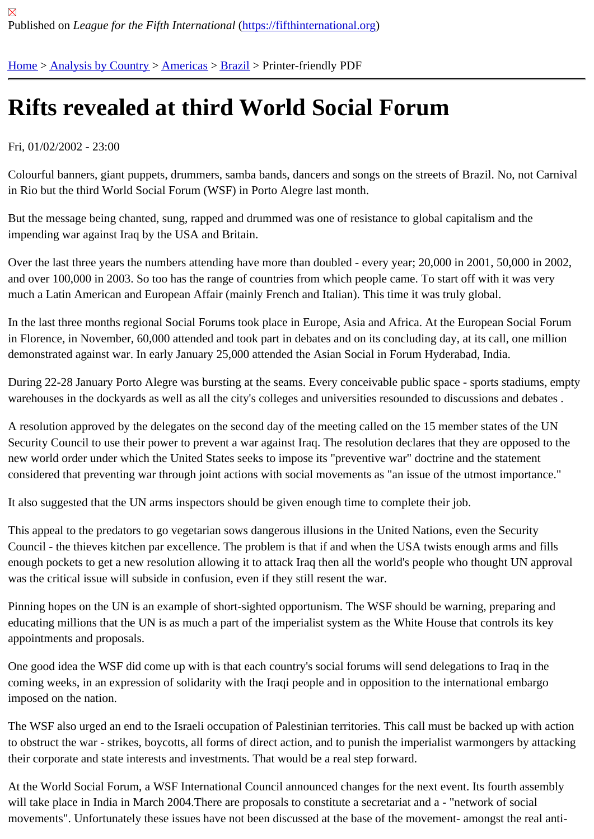## [Rif](https://fifthinternational.org/)t[s revealed](https://fifthinternational.org/category/1) [at th](https://fifthinternational.org/category/1/56)i[rd W](https://fifthinternational.org/category/1/56/62)orld Social Forum

## Fri, 01/02/2002 - 23:00

Colourful banners, giant puppets, drummers, samba bands, dancers and songs on the streets of Brazil. No, not Ca in Rio but the third World Social Forum (WSF) in Porto Alegre last month.

But the message being chanted, sung, rapped and drummed was one of resistance to global capitalism and the impending war against Iraq by the USA and Britain.

Over the last three years the numbers attending have more than doubled - every year; 20,000 in 2001, 50,000 in 2002, and over 100,000 in 2003. So too has the range of countries from which people came. To start off with it was very much a Latin American and European Affair (mainly French and Italian). This time it was truly global.

In the last three months regional Social Forums took place in Europe, Asia and Africa. At the European Social For in Florence, in November, 60,000 attended and took part in debates and on its concluding day, at its call, one milli demonstrated against war. In early January 25,000 attended the Asian Social in Forum Hyderabad, India.

During 22-28 January Porto Alegre was bursting at the seams. Every conceivable public space - sports stadiums, warehouses in the dockyards as well as all the city's colleges and universities resounded to discussions and deba

A resolution approved by the delegates on the second day of the meeting called on the 15 member states of the U Security Council to use their power to prevent a war against Iraq. The resolution declares that they are opposed to new world order under which the United States seeks to impose its "preventive war" doctrine and the statement considered that preventing war through joint actions with social movements as "an issue of the utmost importance."

It also suggested that the UN arms inspectors should be given enough time to complete their job.

This appeal to the predators to go vegetarian sows dangerous illusions in the United Nations, even the Security Council - the thieves kitchen par excellence. The problem is that if and when the USA twists enough arms and fills enough pockets to get a new resolution allowing it to attack Iraq then all the world's people who thought UN appro was the critical issue will subside in confusion, even if they still resent the war.

Pinning hopes on the UN is an example of short-sighted opportunism. The WSF should be warning, preparing and educating millions that the UN is as much a part of the imperialist system as the White House that controls its key appointments and proposals.

One good idea the WSF did come up with is that each country's social forums will send delegations to Iraq in the coming weeks, in an expression of solidarity with the Iraqi people and in opposition to the international embargo imposed on the nation.

The WSF also urged an end to the Israeli occupation of Palestinian territories. This call must be backed up with ac to obstruct the war - strikes, boycotts, all forms of direct action, and to punish the imperialist warmongers by attack their corporate and state interests and investments. That would be a real step forward.

At the World Social Forum, a WSF International Council announced changes for the next event. Its fourth assembl will take place in India in March 2004.There are proposals to constitute a secretariat and a - "network of social movements". Unfortunately these issues have not been discussed at the base of the movement- amongst the real